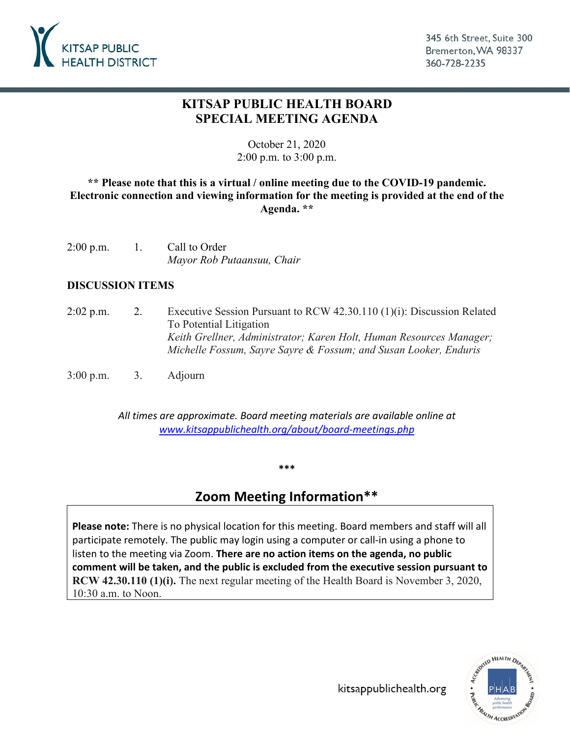

## **KITSAP PUBLIC HEALTH BOARD SPECIAL MEETING AGENDA**

October 21, 2020 2:00 p.m. to 3:00 p.m.

### **\*\* Please note that this is a virtual / online meeting due to the COVID-19 pandemic. Electronic connection and viewing information for the meeting is provided at the end of the Agenda. \*\***

| $2:00$ p.m. | Call to Order              |  |
|-------------|----------------------------|--|
|             | Mayor Rob Putaansuu, Chair |  |

#### **DISCUSSION ITEMS**

- 2:02 p.m. 2. Executive Session Pursuant to RCW 42.30.110 (1)(i): Discussion Related To Potential Litigation *Keith Grellner, Administrator; Karen Holt, Human Resources Manager; Michelle Fossum, Sayre Sayre & Fossum; and Susan Looker, Enduris*
- 3:00 p.m. 3. Adjourn

*All times are approximate. Board meeting materials are available online at [www.kitsappublichealth.org/about/board-meetings.php](http://www.kitsappublichealth.org/about/board-meetings.php)*

#### **\*\*\***

# **Zoom Meeting Information\*\***

**Please note:** There is no physical location for this meeting. Board members and staff will all participate remotely. The public may login using a computer or call-in using a phone to listen to the meeting via Zoom. **There are no action items on the agenda, no public comment will be taken, and the public is excluded from the executive session pursuant to RCW 42.30.110 (1)(i).** The next regular meeting of the Health Board is November 3, 2020, 10:30 a.m. to Noon.